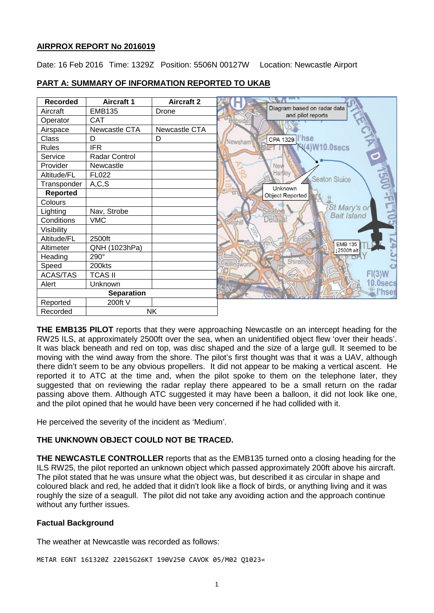## **AIRPROX REPORT No 2016019**

Date: 16 Feb 2016 Time: 1329Z Position: 5506N 00127W Location: Newcastle Airport

| <b>Recorded</b>   | <b>Aircraft 1</b>    | <b>Aircraft 2</b> |                                                  |
|-------------------|----------------------|-------------------|--------------------------------------------------|
| Aircraft          | <b>EMB135</b>        | Drone             | Diagram based on radar data<br>and pilot reports |
| Operator          | CAT                  |                   | Bebside                                          |
| Airspace          | Newcastle CTA        | Newcastle CTA     |                                                  |
| Class             | D                    | D                 | CPA 1329   <b>hse</b><br>Newsham                 |
| <b>Rules</b>      | <b>IFR</b>           |                   | <b>N(4)W10.0secs</b>                             |
| Service           | <b>Radar Control</b> |                   | $\circ$                                          |
| Provider          | Newcastle            |                   | New                                              |
| Altitude/FL       | FL022                |                   | Harlley<br><b>Seaton Sluice</b>                  |
| Transponder       | A, C, S              |                   | Unknown                                          |
| <b>Reported</b>   |                      |                   | <b>Object Reported</b>                           |
| Colours           |                      |                   |                                                  |
| Lighting          | Nav, Strobe          |                   | St Mary's or<br>Seator<br><b>Bait Island</b>     |
| Conditions        | <b>VMC</b>           |                   | Delayal                                          |
| Visibility        |                      |                   |                                                  |
| Altitude/FL       | 2500ft               |                   | ars                                              |
| Altimeter         | QNH (1023hPa)        |                   | Backwor<br><b>EMB 135</b><br>12500ft alt         |
| Heading           | 290°                 |                   | Shiremoo                                         |
| Speed             | 200kts               |                   | Killingworth.                                    |
| <b>ACAS/TAS</b>   | <b>TCAS II</b>       |                   |                                                  |
| Alert             | Unknown              |                   | 0.0secs                                          |
| <b>Separation</b> |                      |                   | hses                                             |
| Reported          | 200ft V              |                   |                                                  |
| Recorded          | NK                   |                   |                                                  |

## **PART A: SUMMARY OF INFORMATION REPORTED TO UKAB**

**THE EMB135 PILOT** reports that they were approaching Newcastle on an intercept heading for the RW25 ILS, at approximately 2500ft over the sea, when an unidentified object flew 'over their heads'. It was black beneath and red on top, was disc shaped and the size of a large gull. It seemed to be moving with the wind away from the shore. The pilot's first thought was that it was a UAV, although there didn't seem to be any obvious propellers. It did not appear to be making a vertical ascent. He reported it to ATC at the time and, when the pilot spoke to them on the telephone later, they suggested that on reviewing the radar replay there appeared to be a small return on the radar passing above them. Although ATC suggested it may have been a balloon, it did not look like one, and the pilot opined that he would have been very concerned if he had collided with it.

He perceived the severity of the incident as 'Medium'.

## **THE UNKNOWN OBJECT COULD NOT BE TRACED.**

**THE NEWCASTLE CONTROLLER** reports that as the EMB135 turned onto a closing heading for the ILS RW25, the pilot reported an unknown object which passed approximately 200ft above his aircraft. The pilot stated that he was unsure what the object was, but described it as circular in shape and coloured black and red, he added that it didn't look like a flock of birds, or anything living and it was roughly the size of a seagull. The pilot did not take any avoiding action and the approach continue without any further issues.

# **Factual Background**

The weather at Newcastle was recorded as follows:

METAR EGNT 161320Z 22015G26KT 190V250 CAVOK 05/M02 Q1023=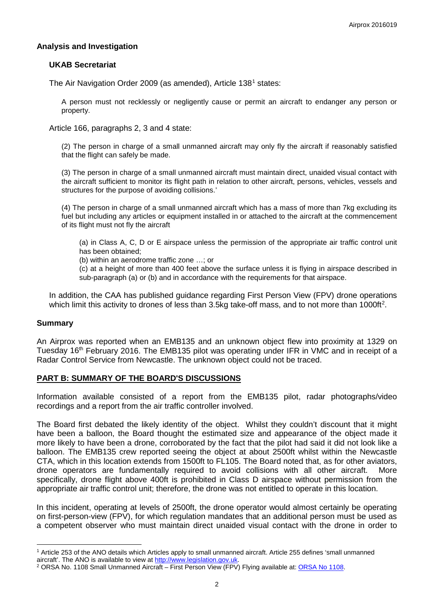### **Analysis and Investigation**

### **UKAB Secretariat**

The Air Navigation Order 2009 (as amended), Article [1](#page-1-0)38<sup>1</sup> states:

A person must not recklessly or negligently cause or permit an aircraft to endanger any person or property.

Article 166, paragraphs 2, 3 and 4 state:

(2) The person in charge of a small unmanned aircraft may only fly the aircraft if reasonably satisfied that the flight can safely be made.

(3) The person in charge of a small unmanned aircraft must maintain direct, unaided visual contact with the aircraft sufficient to monitor its flight path in relation to other aircraft, persons, vehicles, vessels and structures for the purpose of avoiding collisions.'

(4) The person in charge of a small unmanned aircraft which has a mass of more than 7kg excluding its fuel but including any articles or equipment installed in or attached to the aircraft at the commencement of its flight must not fly the aircraft

(a) in Class A, C, D or E airspace unless the permission of the appropriate air traffic control unit has been obtained;

(b) within an aerodrome traffic zone …; or

(c) at a height of more than 400 feet above the surface unless it is flying in airspace described in sub-paragraph (a) or (b) and in accordance with the requirements for that airspace.

In addition, the CAA has published guidance regarding First Person View (FPV) drone operations which limit this activity to drones of less than 3.5kg take-off mass, and to not more than 1000ft<sup>[2](#page-1-1)</sup>.

## **Summary**

 $\overline{\phantom{a}}$ 

An Airprox was reported when an EMB135 and an unknown object flew into proximity at 1329 on Tuesday 16<sup>th</sup> February 2016. The EMB135 pilot was operating under IFR in VMC and in receipt of a Radar Control Service from Newcastle. The unknown object could not be traced.

#### **PART B: SUMMARY OF THE BOARD'S DISCUSSIONS**

Information available consisted of a report from the EMB135 pilot, radar photographs/video recordings and a report from the air traffic controller involved.

The Board first debated the likely identity of the object. Whilst they couldn't discount that it might have been a balloon, the Board thought the estimated size and appearance of the object made it more likely to have been a drone, corroborated by the fact that the pilot had said it did not look like a balloon. The EMB135 crew reported seeing the object at about 2500ft whilst within the Newcastle CTA, which in this location extends from 1500ft to FL105. The Board noted that, as for other aviators, drone operators are fundamentally required to avoid collisions with all other aircraft. More specifically, drone flight above 400ft is prohibited in Class D airspace without permission from the appropriate air traffic control unit; therefore, the drone was not entitled to operate in this location.

In this incident, operating at levels of 2500ft, the drone operator would almost certainly be operating on first-person-view (FPV), for which regulation mandates that an additional person must be used as a competent observer who must maintain direct unaided visual contact with the drone in order to

<span id="page-1-0"></span><sup>&</sup>lt;sup>1</sup> Article 253 of the ANO details which Articles apply to small unmanned aircraft. Article 255 defines 'small unmanned aircraft'. The ANO is available to view at http://www.legislation.gov.uk.

<span id="page-1-1"></span><sup>&</sup>lt;sup>2</sup> ORSA No. 1108 Small Unmanned Aircraft – First Person View (FPV) Flying available at: ORSA No 1108.